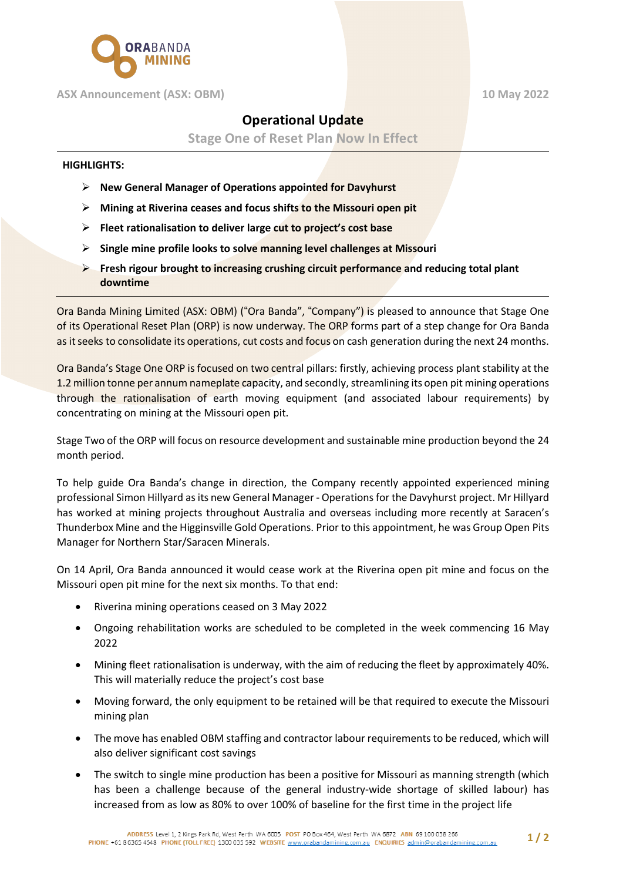

# **ASX Announcement (ASX: OBM) 10 May 2022**

# **Operational Update**

**Stage One of Reset Plan Now In Effect**

# **HIGHLIGHTS:**

- Ø **New General Manager of Operations appointed for Davyhurst**
- Ø **Mining at Riverina ceases and focus shifts to the Missouri open pit**
- Ø **Fleet rationalisation to deliver large cut to project's cost base**
- Ø **Single mine profile looks to solve manning level challenges at Missouri**
- Ø **Fresh rigour brought to increasing crushing circuit performance and reducing total plant downtime**

Ora Banda Mining Limited (ASX: OBM) ("Ora Banda", "Company") is pleased to announce that Stage One of its Operational Reset Plan (ORP) is now underway. The ORP forms part of a step change for Ora Banda as it seeks to consolidate its operations, cut costs and focus on cash generation during the next 24 months.

Ora Banda's Stage One ORP is focused on two central pillars: firstly, achieving process plant stability at the 1.2 million tonne per annum nameplate capacity, and secondly, streamlining its open pit mining operations through the rationalisation of earth moving equipment (and associated labour requirements) by concentrating on mining at the Missouri open pit.

Stage Two of the ORP will focus on resource development and sustainable mine production beyond the 24 month period.

To help guide Ora Banda's change in direction, the Company recently appointed experienced mining professional Simon Hillyard as its new General Manager - Operations for the Davyhurst project. Mr Hillyard has worked at mining projects throughout Australia and overseas including more recently at Saracen's Thunderbox Mine and the Higginsville Gold Operations. Prior to this appointment, he was Group Open Pits Manager for Northern Star/Saracen Minerals.

On 14 April, Ora Banda announced it would cease work at the Riverina open pit mine and focus on the Missouri open pit mine for the next six months. To that end:

- Riverina mining operations ceased on 3 May 2022
- Ongoing rehabilitation works are scheduled to be completed in the week commencing 16 May 2022
- Mining fleet rationalisation is underway, with the aim of reducing the fleet by approximately 40%. This will materially reduce the project's cost base
- Moving forward, the only equipment to be retained will be that required to execute the Missouri mining plan
- The move has enabled OBM staffing and contractor labour requirements to be reduced, which will also deliver significant cost savings
- The switch to single mine production has been a positive for Missouri as manning strength (which has been a challenge because of the general industry-wide shortage of skilled labour) has increased from as low as 80% to over 100% of baseline for the first time in the project life